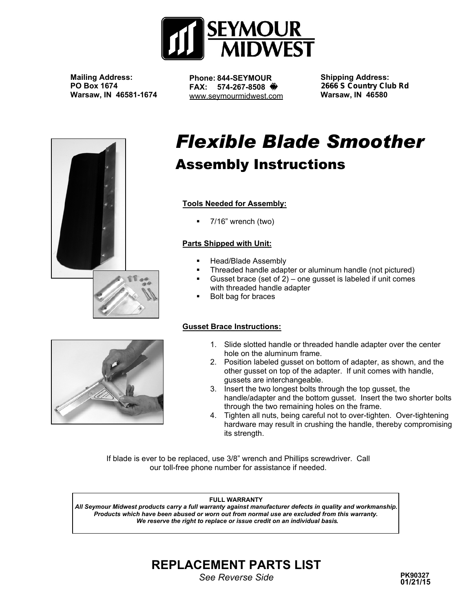

**Mailing Address: Shipping Address: Phone: 844-SEYMOUR PO Box 1674 2666 S Country Club Rd Warsaw, IN 46581-1674 Warsaw, IN 46580** www.seymourmidwest.com**FAX: 574-267-8508** ��



# *Flexible Blade Smoother*  Assembly Instructions

### **Tools Needed for Assembly:**

7/16" wrench (two)

#### **Parts Shipped with Unit:**

- Head/Blade Assembly
- Threaded handle adapter or aluminum handle (not pictured)
- Gusset brace (set of 2) one gusset is labeled if unit comes with threaded handle adapter
- Bolt bag for braces

#### **Gusset Brace Instructions:**

- 1. Slide slotted handle or threaded handle adapter over the center hole on the aluminum frame.
- 2. Position labeled gusset on bottom of adapter, as shown, and the other gusset on top of the adapter. If unit comes with handle, gussets are interchangeable.
- 3. Insert the two longest bolts through the top gusset, the handle/adapter and the bottom gusset. Insert the two shorter bolts through the two remaining holes on the frame.
- 4. Tighten all nuts, being careful not to over-tighten. Over-tightening hardware may result in crushing the handle, thereby compromising its strength.

If blade is ever to be replaced, use 3/8" wrench and Phillips screwdriver. Call our toll-free phone number for assistance if needed.

#### **FULL WARRANTY**

*All Seymour Midwest products carry a full warranty against manufacturer defects in quality and workmanship. Products which have been abused or worn out from normal use are excluded from this warranty. We reserve the right to replace or issue credit on an individual basis.* 



## **REPLACEMENT PARTS LIST**  *See Reverse Side* **PK90327**